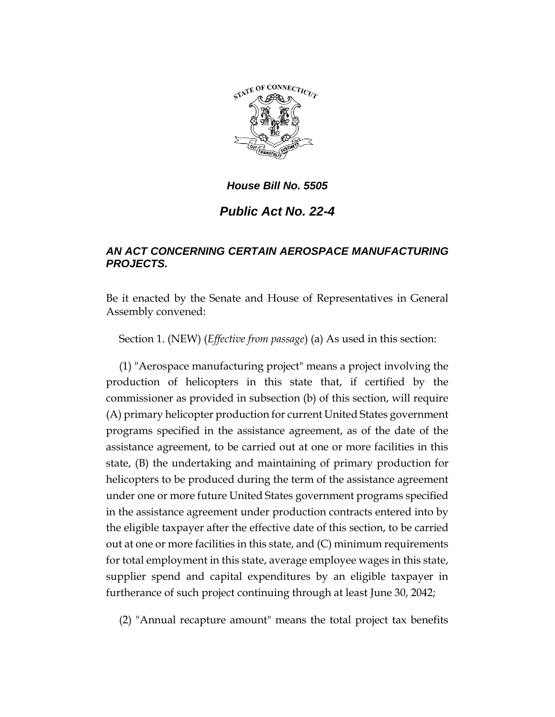

*Public Act No. 22-4*

## *AN ACT CONCERNING CERTAIN AEROSPACE MANUFACTURING PROJECTS.*

Be it enacted by the Senate and House of Representatives in General Assembly convened:

Section 1. (NEW) (*Effective from passage*) (a) As used in this section:

(1) "Aerospace manufacturing project" means a project involving the production of helicopters in this state that, if certified by the commissioner as provided in subsection (b) of this section, will require (A) primary helicopter production for current United States government programs specified in the assistance agreement, as of the date of the assistance agreement, to be carried out at one or more facilities in this state, (B) the undertaking and maintaining of primary production for helicopters to be produced during the term of the assistance agreement under one or more future United States government programs specified in the assistance agreement under production contracts entered into by the eligible taxpayer after the effective date of this section, to be carried out at one or more facilities in this state, and (C) minimum requirements for total employment in this state, average employee wages in this state, supplier spend and capital expenditures by an eligible taxpayer in furtherance of such project continuing through at least June 30, 2042;

(2) "Annual recapture amount" means the total project tax benefits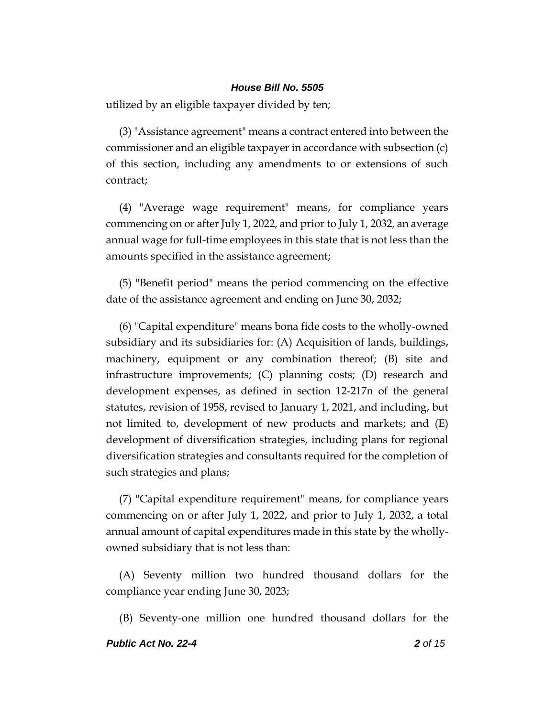utilized by an eligible taxpayer divided by ten;

(3) "Assistance agreement" means a contract entered into between the commissioner and an eligible taxpayer in accordance with subsection (c) of this section, including any amendments to or extensions of such contract;

(4) "Average wage requirement" means, for compliance years commencing on or after July 1, 2022, and prior to July 1, 2032, an average annual wage for full-time employees in this state that is not less than the amounts specified in the assistance agreement;

(5) "Benefit period" means the period commencing on the effective date of the assistance agreement and ending on June 30, 2032;

(6) "Capital expenditure" means bona fide costs to the wholly-owned subsidiary and its subsidiaries for: (A) Acquisition of lands, buildings, machinery, equipment or any combination thereof; (B) site and infrastructure improvements; (C) planning costs; (D) research and development expenses, as defined in section 12-217n of the general statutes, revision of 1958, revised to January 1, 2021, and including, but not limited to, development of new products and markets; and (E) development of diversification strategies, including plans for regional diversification strategies and consultants required for the completion of such strategies and plans;

(7) "Capital expenditure requirement" means, for compliance years commencing on or after July 1, 2022, and prior to July 1, 2032, a total annual amount of capital expenditures made in this state by the whollyowned subsidiary that is not less than:

(A) Seventy million two hundred thousand dollars for the compliance year ending June 30, 2023;

(B) Seventy-one million one hundred thousand dollars for the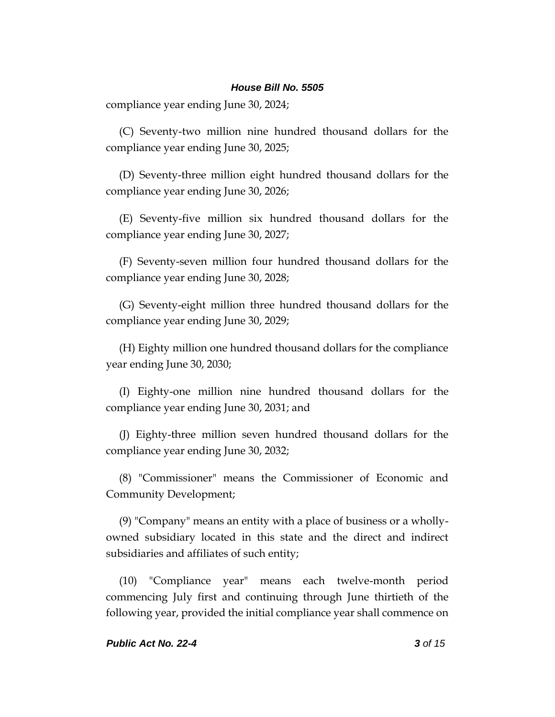compliance year ending June 30, 2024;

(C) Seventy-two million nine hundred thousand dollars for the compliance year ending June 30, 2025;

(D) Seventy-three million eight hundred thousand dollars for the compliance year ending June 30, 2026;

(E) Seventy-five million six hundred thousand dollars for the compliance year ending June 30, 2027;

(F) Seventy-seven million four hundred thousand dollars for the compliance year ending June 30, 2028;

(G) Seventy-eight million three hundred thousand dollars for the compliance year ending June 30, 2029;

(H) Eighty million one hundred thousand dollars for the compliance year ending June 30, 2030;

(I) Eighty-one million nine hundred thousand dollars for the compliance year ending June 30, 2031; and

(J) Eighty-three million seven hundred thousand dollars for the compliance year ending June 30, 2032;

(8) "Commissioner" means the Commissioner of Economic and Community Development;

(9) "Company" means an entity with a place of business or a whollyowned subsidiary located in this state and the direct and indirect subsidiaries and affiliates of such entity;

(10) "Compliance year" means each twelve-month period commencing July first and continuing through June thirtieth of the following year, provided the initial compliance year shall commence on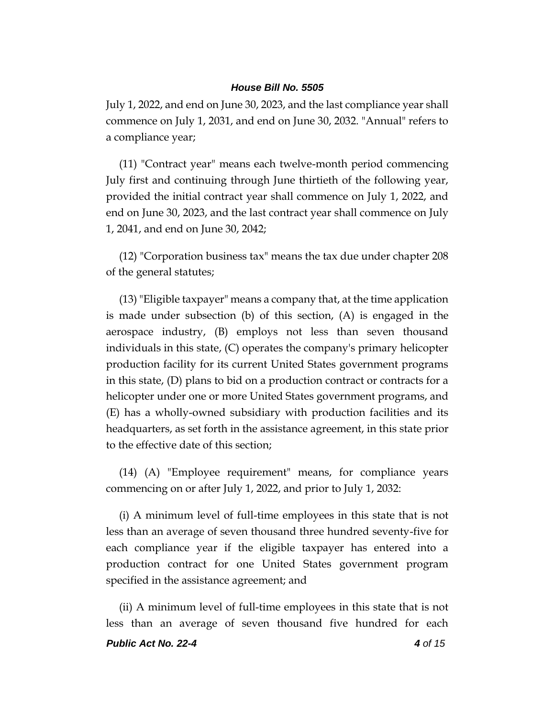July 1, 2022, and end on June 30, 2023, and the last compliance year shall commence on July 1, 2031, and end on June 30, 2032. "Annual" refers to a compliance year;

(11) "Contract year" means each twelve-month period commencing July first and continuing through June thirtieth of the following year, provided the initial contract year shall commence on July 1, 2022, and end on June 30, 2023, and the last contract year shall commence on July 1, 2041, and end on June 30, 2042;

(12) "Corporation business tax" means the tax due under chapter 208 of the general statutes;

(13) "Eligible taxpayer" means a company that, at the time application is made under subsection (b) of this section, (A) is engaged in the aerospace industry, (B) employs not less than seven thousand individuals in this state, (C) operates the company's primary helicopter production facility for its current United States government programs in this state, (D) plans to bid on a production contract or contracts for a helicopter under one or more United States government programs, and (E) has a wholly-owned subsidiary with production facilities and its headquarters, as set forth in the assistance agreement, in this state prior to the effective date of this section;

(14) (A) "Employee requirement" means, for compliance years commencing on or after July 1, 2022, and prior to July 1, 2032:

(i) A minimum level of full-time employees in this state that is not less than an average of seven thousand three hundred seventy-five for each compliance year if the eligible taxpayer has entered into a production contract for one United States government program specified in the assistance agreement; and

(ii) A minimum level of full-time employees in this state that is not less than an average of seven thousand five hundred for each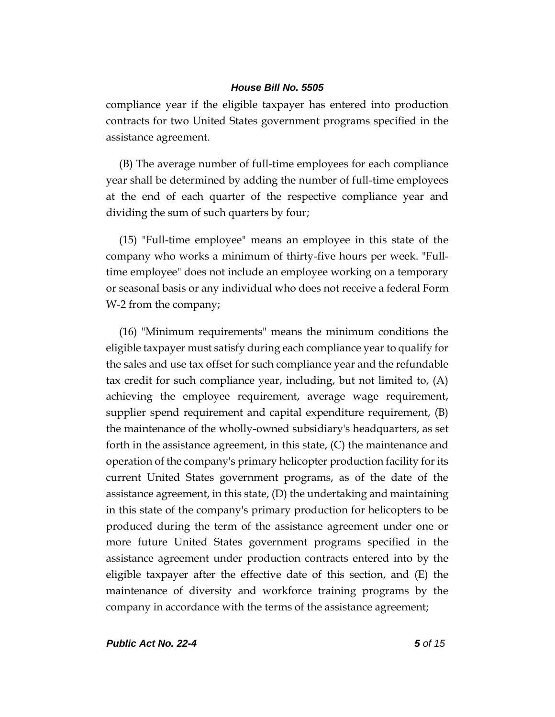compliance year if the eligible taxpayer has entered into production contracts for two United States government programs specified in the assistance agreement.

(B) The average number of full-time employees for each compliance year shall be determined by adding the number of full-time employees at the end of each quarter of the respective compliance year and dividing the sum of such quarters by four;

(15) "Full-time employee" means an employee in this state of the company who works a minimum of thirty-five hours per week. "Fulltime employee" does not include an employee working on a temporary or seasonal basis or any individual who does not receive a federal Form W-2 from the company;

(16) "Minimum requirements" means the minimum conditions the eligible taxpayer must satisfy during each compliance year to qualify for the sales and use tax offset for such compliance year and the refundable tax credit for such compliance year, including, but not limited to, (A) achieving the employee requirement, average wage requirement, supplier spend requirement and capital expenditure requirement, (B) the maintenance of the wholly-owned subsidiary's headquarters, as set forth in the assistance agreement, in this state, (C) the maintenance and operation of the company's primary helicopter production facility for its current United States government programs, as of the date of the assistance agreement, in this state, (D) the undertaking and maintaining in this state of the company's primary production for helicopters to be produced during the term of the assistance agreement under one or more future United States government programs specified in the assistance agreement under production contracts entered into by the eligible taxpayer after the effective date of this section, and (E) the maintenance of diversity and workforce training programs by the company in accordance with the terms of the assistance agreement;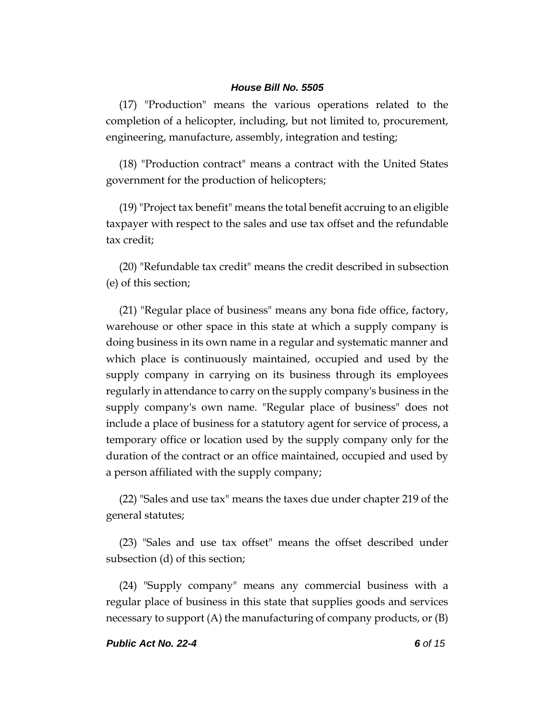(17) "Production" means the various operations related to the completion of a helicopter, including, but not limited to, procurement, engineering, manufacture, assembly, integration and testing;

(18) "Production contract" means a contract with the United States government for the production of helicopters;

(19) "Project tax benefit" means the total benefit accruing to an eligible taxpayer with respect to the sales and use tax offset and the refundable tax credit;

(20) "Refundable tax credit" means the credit described in subsection (e) of this section;

(21) "Regular place of business" means any bona fide office, factory, warehouse or other space in this state at which a supply company is doing business in its own name in a regular and systematic manner and which place is continuously maintained, occupied and used by the supply company in carrying on its business through its employees regularly in attendance to carry on the supply company's business in the supply company's own name. "Regular place of business" does not include a place of business for a statutory agent for service of process, a temporary office or location used by the supply company only for the duration of the contract or an office maintained, occupied and used by a person affiliated with the supply company;

(22) "Sales and use tax" means the taxes due under chapter 219 of the general statutes;

(23) "Sales and use tax offset" means the offset described under subsection (d) of this section;

(24) "Supply company" means any commercial business with a regular place of business in this state that supplies goods and services necessary to support  $(A)$  the manufacturing of company products, or  $(B)$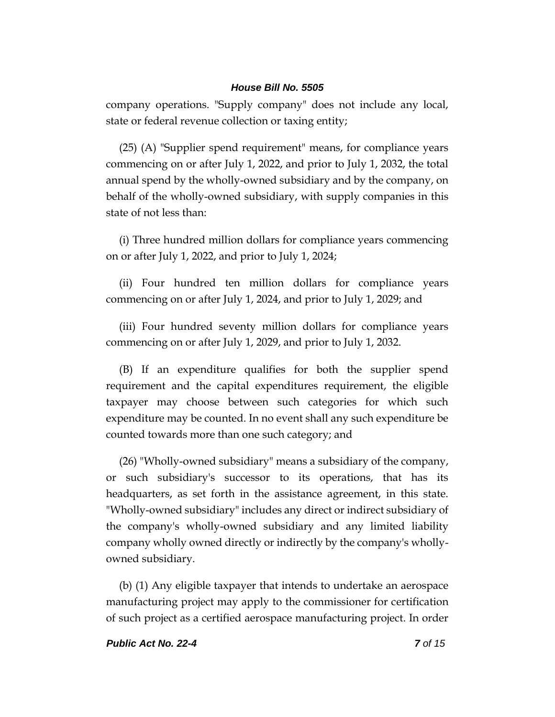company operations. "Supply company" does not include any local, state or federal revenue collection or taxing entity;

(25) (A) "Supplier spend requirement" means, for compliance years commencing on or after July 1, 2022, and prior to July 1, 2032, the total annual spend by the wholly-owned subsidiary and by the company, on behalf of the wholly-owned subsidiary, with supply companies in this state of not less than:

(i) Three hundred million dollars for compliance years commencing on or after July 1, 2022, and prior to July 1, 2024;

(ii) Four hundred ten million dollars for compliance years commencing on or after July 1, 2024, and prior to July 1, 2029; and

(iii) Four hundred seventy million dollars for compliance years commencing on or after July 1, 2029, and prior to July 1, 2032.

(B) If an expenditure qualifies for both the supplier spend requirement and the capital expenditures requirement, the eligible taxpayer may choose between such categories for which such expenditure may be counted. In no event shall any such expenditure be counted towards more than one such category; and

(26) "Wholly-owned subsidiary" means a subsidiary of the company, or such subsidiary's successor to its operations, that has its headquarters, as set forth in the assistance agreement, in this state. "Wholly-owned subsidiary" includes any direct or indirect subsidiary of the company's wholly-owned subsidiary and any limited liability company wholly owned directly or indirectly by the company's whollyowned subsidiary.

(b) (1) Any eligible taxpayer that intends to undertake an aerospace manufacturing project may apply to the commissioner for certification of such project as a certified aerospace manufacturing project. In order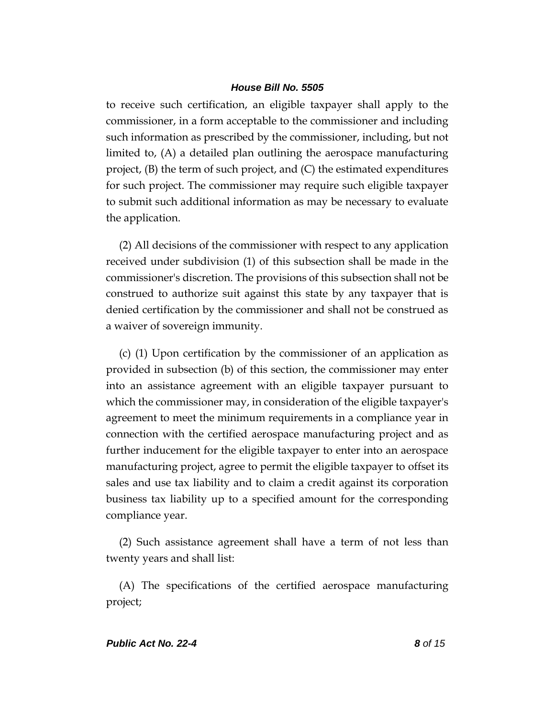to receive such certification, an eligible taxpayer shall apply to the commissioner, in a form acceptable to the commissioner and including such information as prescribed by the commissioner, including, but not limited to, (A) a detailed plan outlining the aerospace manufacturing project, (B) the term of such project, and (C) the estimated expenditures for such project. The commissioner may require such eligible taxpayer to submit such additional information as may be necessary to evaluate the application.

(2) All decisions of the commissioner with respect to any application received under subdivision (1) of this subsection shall be made in the commissioner's discretion. The provisions of this subsection shall not be construed to authorize suit against this state by any taxpayer that is denied certification by the commissioner and shall not be construed as a waiver of sovereign immunity.

(c) (1) Upon certification by the commissioner of an application as provided in subsection (b) of this section, the commissioner may enter into an assistance agreement with an eligible taxpayer pursuant to which the commissioner may, in consideration of the eligible taxpayer's agreement to meet the minimum requirements in a compliance year in connection with the certified aerospace manufacturing project and as further inducement for the eligible taxpayer to enter into an aerospace manufacturing project, agree to permit the eligible taxpayer to offset its sales and use tax liability and to claim a credit against its corporation business tax liability up to a specified amount for the corresponding compliance year.

(2) Such assistance agreement shall have a term of not less than twenty years and shall list:

(A) The specifications of the certified aerospace manufacturing project;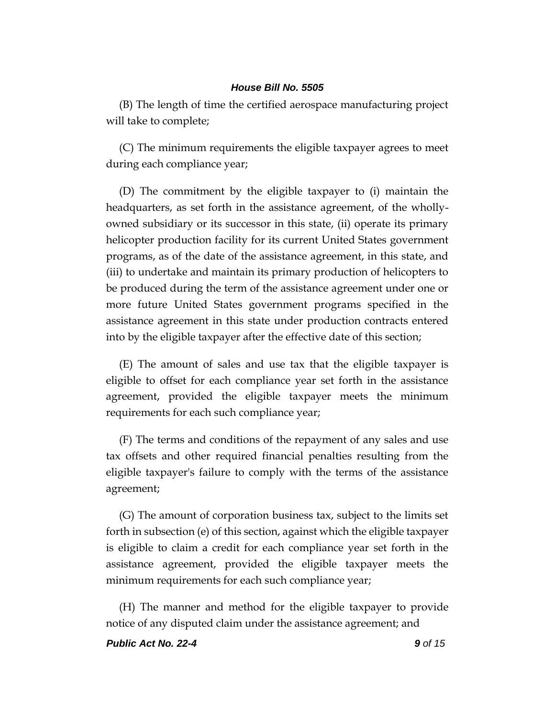(B) The length of time the certified aerospace manufacturing project will take to complete;

(C) The minimum requirements the eligible taxpayer agrees to meet during each compliance year;

(D) The commitment by the eligible taxpayer to (i) maintain the headquarters, as set forth in the assistance agreement, of the whollyowned subsidiary or its successor in this state, (ii) operate its primary helicopter production facility for its current United States government programs, as of the date of the assistance agreement, in this state, and (iii) to undertake and maintain its primary production of helicopters to be produced during the term of the assistance agreement under one or more future United States government programs specified in the assistance agreement in this state under production contracts entered into by the eligible taxpayer after the effective date of this section;

(E) The amount of sales and use tax that the eligible taxpayer is eligible to offset for each compliance year set forth in the assistance agreement, provided the eligible taxpayer meets the minimum requirements for each such compliance year;

(F) The terms and conditions of the repayment of any sales and use tax offsets and other required financial penalties resulting from the eligible taxpayer's failure to comply with the terms of the assistance agreement;

(G) The amount of corporation business tax, subject to the limits set forth in subsection (e) of this section, against which the eligible taxpayer is eligible to claim a credit for each compliance year set forth in the assistance agreement, provided the eligible taxpayer meets the minimum requirements for each such compliance year;

(H) The manner and method for the eligible taxpayer to provide notice of any disputed claim under the assistance agreement; and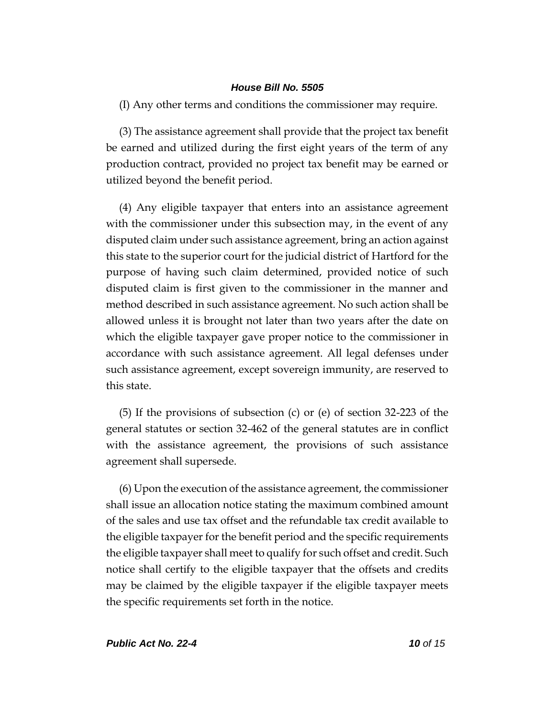(I) Any other terms and conditions the commissioner may require.

(3) The assistance agreement shall provide that the project tax benefit be earned and utilized during the first eight years of the term of any production contract, provided no project tax benefit may be earned or utilized beyond the benefit period.

(4) Any eligible taxpayer that enters into an assistance agreement with the commissioner under this subsection may, in the event of any disputed claim under such assistance agreement, bring an action against this state to the superior court for the judicial district of Hartford for the purpose of having such claim determined, provided notice of such disputed claim is first given to the commissioner in the manner and method described in such assistance agreement. No such action shall be allowed unless it is brought not later than two years after the date on which the eligible taxpayer gave proper notice to the commissioner in accordance with such assistance agreement. All legal defenses under such assistance agreement, except sovereign immunity, are reserved to this state.

(5) If the provisions of subsection (c) or (e) of section 32-223 of the general statutes or section 32-462 of the general statutes are in conflict with the assistance agreement, the provisions of such assistance agreement shall supersede.

(6) Upon the execution of the assistance agreement, the commissioner shall issue an allocation notice stating the maximum combined amount of the sales and use tax offset and the refundable tax credit available to the eligible taxpayer for the benefit period and the specific requirements the eligible taxpayer shall meet to qualify for such offset and credit. Such notice shall certify to the eligible taxpayer that the offsets and credits may be claimed by the eligible taxpayer if the eligible taxpayer meets the specific requirements set forth in the notice.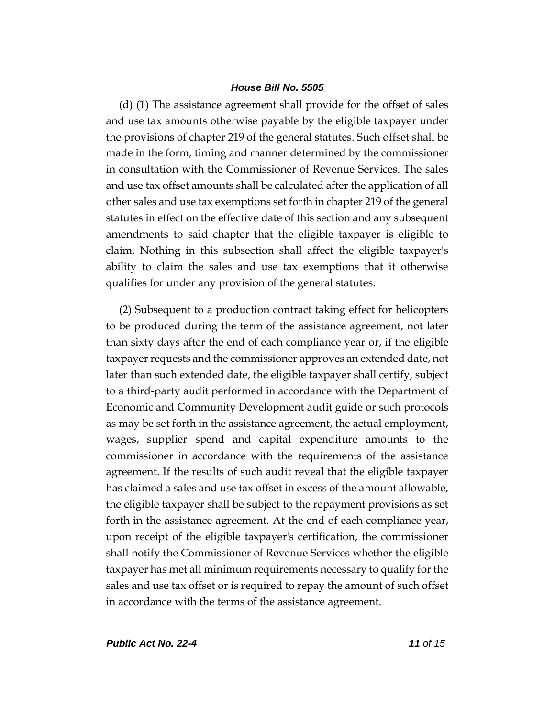(d) (1) The assistance agreement shall provide for the offset of sales and use tax amounts otherwise payable by the eligible taxpayer under the provisions of chapter 219 of the general statutes. Such offset shall be made in the form, timing and manner determined by the commissioner in consultation with the Commissioner of Revenue Services. The sales and use tax offset amounts shall be calculated after the application of all other sales and use tax exemptions set forth in chapter 219 of the general statutes in effect on the effective date of this section and any subsequent amendments to said chapter that the eligible taxpayer is eligible to claim. Nothing in this subsection shall affect the eligible taxpayer's ability to claim the sales and use tax exemptions that it otherwise qualifies for under any provision of the general statutes.

(2) Subsequent to a production contract taking effect for helicopters to be produced during the term of the assistance agreement, not later than sixty days after the end of each compliance year or, if the eligible taxpayer requests and the commissioner approves an extended date, not later than such extended date, the eligible taxpayer shall certify, subject to a third-party audit performed in accordance with the Department of Economic and Community Development audit guide or such protocols as may be set forth in the assistance agreement, the actual employment, wages, supplier spend and capital expenditure amounts to the commissioner in accordance with the requirements of the assistance agreement. If the results of such audit reveal that the eligible taxpayer has claimed a sales and use tax offset in excess of the amount allowable, the eligible taxpayer shall be subject to the repayment provisions as set forth in the assistance agreement. At the end of each compliance year, upon receipt of the eligible taxpayer's certification, the commissioner shall notify the Commissioner of Revenue Services whether the eligible taxpayer has met all minimum requirements necessary to qualify for the sales and use tax offset or is required to repay the amount of such offset in accordance with the terms of the assistance agreement.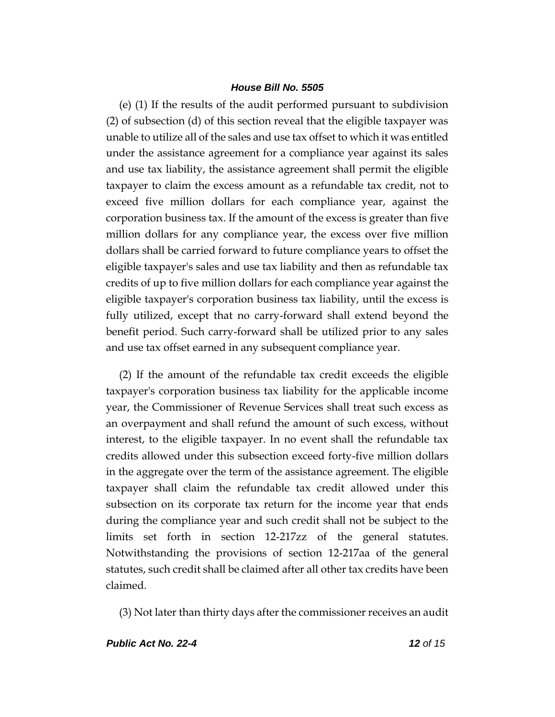(e) (1) If the results of the audit performed pursuant to subdivision (2) of subsection (d) of this section reveal that the eligible taxpayer was unable to utilize all of the sales and use tax offset to which it was entitled under the assistance agreement for a compliance year against its sales and use tax liability, the assistance agreement shall permit the eligible taxpayer to claim the excess amount as a refundable tax credit, not to exceed five million dollars for each compliance year, against the corporation business tax. If the amount of the excess is greater than five million dollars for any compliance year, the excess over five million dollars shall be carried forward to future compliance years to offset the eligible taxpayer's sales and use tax liability and then as refundable tax credits of up to five million dollars for each compliance year against the eligible taxpayer's corporation business tax liability, until the excess is fully utilized, except that no carry-forward shall extend beyond the benefit period. Such carry-forward shall be utilized prior to any sales and use tax offset earned in any subsequent compliance year.

(2) If the amount of the refundable tax credit exceeds the eligible taxpayer's corporation business tax liability for the applicable income year, the Commissioner of Revenue Services shall treat such excess as an overpayment and shall refund the amount of such excess, without interest, to the eligible taxpayer. In no event shall the refundable tax credits allowed under this subsection exceed forty-five million dollars in the aggregate over the term of the assistance agreement. The eligible taxpayer shall claim the refundable tax credit allowed under this subsection on its corporate tax return for the income year that ends during the compliance year and such credit shall not be subject to the limits set forth in section 12-217zz of the general statutes. Notwithstanding the provisions of section 12-217aa of the general statutes, such credit shall be claimed after all other tax credits have been claimed.

(3) Not later than thirty days after the commissioner receives an audit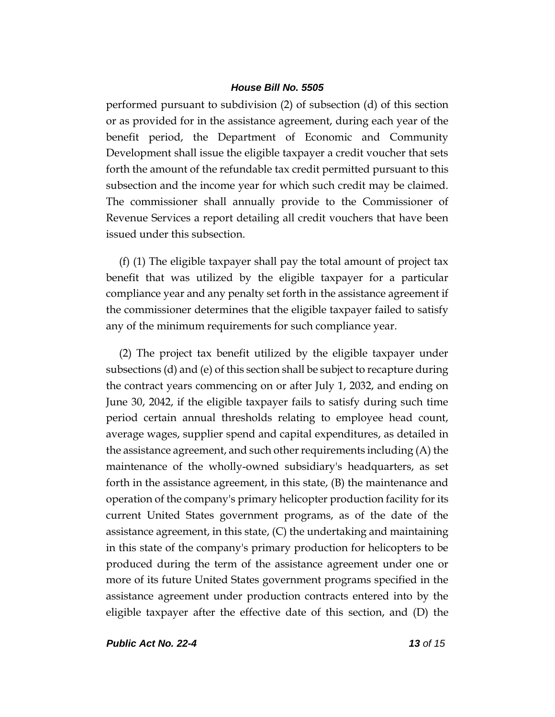performed pursuant to subdivision (2) of subsection (d) of this section or as provided for in the assistance agreement, during each year of the benefit period, the Department of Economic and Community Development shall issue the eligible taxpayer a credit voucher that sets forth the amount of the refundable tax credit permitted pursuant to this subsection and the income year for which such credit may be claimed. The commissioner shall annually provide to the Commissioner of Revenue Services a report detailing all credit vouchers that have been issued under this subsection.

(f) (1) The eligible taxpayer shall pay the total amount of project tax benefit that was utilized by the eligible taxpayer for a particular compliance year and any penalty set forth in the assistance agreement if the commissioner determines that the eligible taxpayer failed to satisfy any of the minimum requirements for such compliance year.

(2) The project tax benefit utilized by the eligible taxpayer under subsections (d) and (e) of this section shall be subject to recapture during the contract years commencing on or after July 1, 2032, and ending on June 30, 2042, if the eligible taxpayer fails to satisfy during such time period certain annual thresholds relating to employee head count, average wages, supplier spend and capital expenditures, as detailed in the assistance agreement, and such other requirements including (A) the maintenance of the wholly-owned subsidiary's headquarters, as set forth in the assistance agreement, in this state, (B) the maintenance and operation of the company's primary helicopter production facility for its current United States government programs, as of the date of the assistance agreement, in this state, (C) the undertaking and maintaining in this state of the company's primary production for helicopters to be produced during the term of the assistance agreement under one or more of its future United States government programs specified in the assistance agreement under production contracts entered into by the eligible taxpayer after the effective date of this section, and (D) the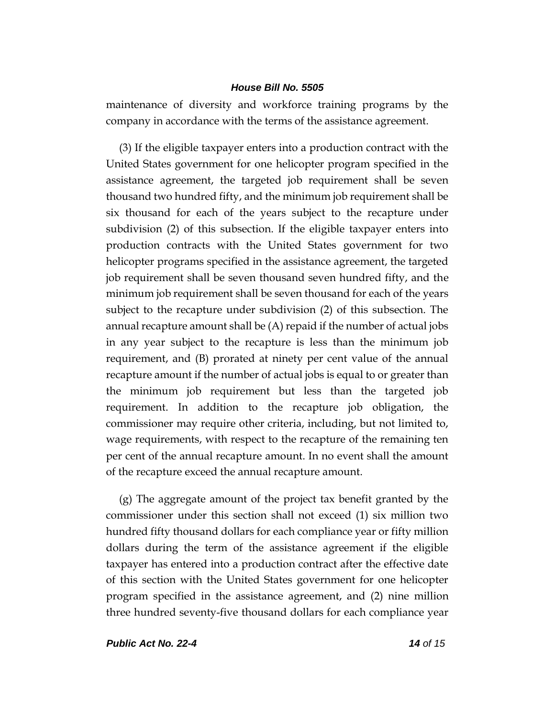maintenance of diversity and workforce training programs by the company in accordance with the terms of the assistance agreement.

(3) If the eligible taxpayer enters into a production contract with the United States government for one helicopter program specified in the assistance agreement, the targeted job requirement shall be seven thousand two hundred fifty, and the minimum job requirement shall be six thousand for each of the years subject to the recapture under subdivision (2) of this subsection. If the eligible taxpayer enters into production contracts with the United States government for two helicopter programs specified in the assistance agreement, the targeted job requirement shall be seven thousand seven hundred fifty, and the minimum job requirement shall be seven thousand for each of the years subject to the recapture under subdivision (2) of this subsection. The annual recapture amount shall be (A) repaid if the number of actual jobs in any year subject to the recapture is less than the minimum job requirement, and (B) prorated at ninety per cent value of the annual recapture amount if the number of actual jobs is equal to or greater than the minimum job requirement but less than the targeted job requirement. In addition to the recapture job obligation, the commissioner may require other criteria, including, but not limited to, wage requirements, with respect to the recapture of the remaining ten per cent of the annual recapture amount. In no event shall the amount of the recapture exceed the annual recapture amount.

(g) The aggregate amount of the project tax benefit granted by the commissioner under this section shall not exceed (1) six million two hundred fifty thousand dollars for each compliance year or fifty million dollars during the term of the assistance agreement if the eligible taxpayer has entered into a production contract after the effective date of this section with the United States government for one helicopter program specified in the assistance agreement, and (2) nine million three hundred seventy-five thousand dollars for each compliance year